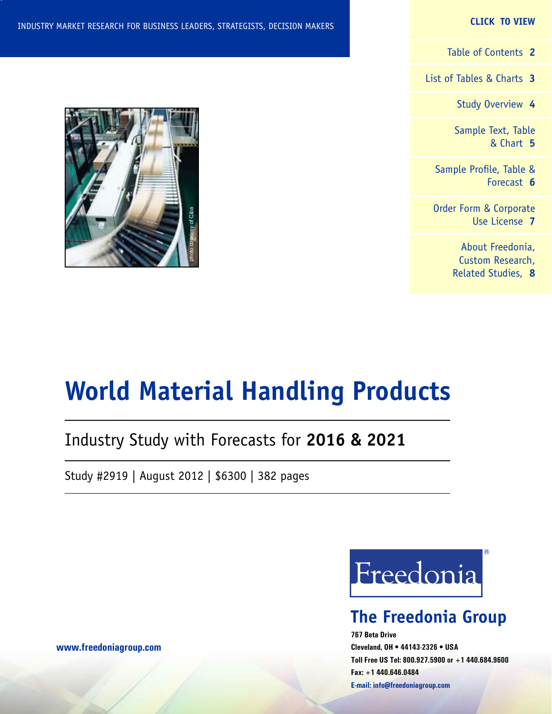#### **CLICK TO VIEW**

[Table of Contents](#page-1-0) **2**

[List of Tables & Charts](#page-2-0) **3**

[Study Overview](#page-3-0) **4**

[Sample Text, Table](#page-4-0) [& Chart](#page-4-0) **5**

[Sample Profile, Table &](#page-5-0) [Forecast](#page-5-0) **6**

[Order Form & Corporate](#page-6-0) [Use License](#page-6-0) **7**

> [About Freedonia,](#page-7-0) [Custom Research,](#page-7-0) [Related Studies,](#page-7-0) **8**



# **World Material Handling Products**

# Industry Study with Forecasts for **2016 & 2021**

Study #2919 | August 2012 | \$6300 | 382 pages



# **The Freedonia Group**

**767 Beta Drive Cleveland, OH • 44143-2326 • USA Toll Free US Tel: 800.927.5900 or +1 440.684.9600 Fax: +1 440.646.0484 E-mail: [info@freedoniagroup.com](mailto:info@freedoniagroup.com)**

**[www.freedoniagroup.com](http://www.freedoniagroup.com/Home.aspx?ReferrerId=FM-Bro)**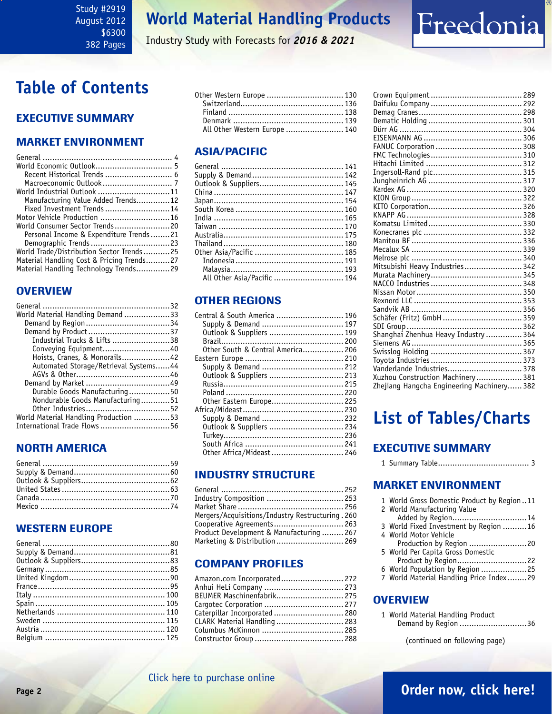#### <span id="page-1-0"></span>Study #2919 August 2012 \$6300 382 Pages

# **World Material Handling Products**

Industry Study with Forecasts for *2016 & 2021*

# **Table of Contents**

# Executive Summary

### Market EnvironmenT

| Recent Historical Trends  6               |  |
|-------------------------------------------|--|
|                                           |  |
| World Industrial Outlook 11               |  |
| Manufacturing Value Added Trends12        |  |
| Fixed Investment Trends  14               |  |
|                                           |  |
| World Consumer Sector Trends20            |  |
| Personal Income & Expenditure Trends21    |  |
|                                           |  |
| World Trade/Distribution Sector Trends25  |  |
| Material Handling Cost & Pricing Trends27 |  |
| Material Handling Technology Trends29     |  |
|                                           |  |

### **OVERVIEW**

| World Material Handling Demand 33     |  |
|---------------------------------------|--|
|                                       |  |
|                                       |  |
| Industrial Trucks & Lifts 38          |  |
| Conveying Equipment40                 |  |
| Hoists, Cranes, & Monorails42         |  |
| Automated Storage/Retrieval Systems44 |  |
|                                       |  |
|                                       |  |
| Durable Goods Manufacturing50         |  |
| Nondurable Goods Manufacturing51      |  |
|                                       |  |
| World Material Handling Production 53 |  |
| International Trade Flows56           |  |
|                                       |  |

### NORTH AMERICA

### WESTERN EUROPE

| Other Western Europe  130     |  |
|-------------------------------|--|
|                               |  |
|                               |  |
|                               |  |
| All Other Western Europe  140 |  |

## ASIA/PACIFIC

| All Other Asia/Pacific  194 |  |
|-----------------------------|--|
|                             |  |

## OTHER REGIONS

| Central & South America  196      |  |
|-----------------------------------|--|
| Supply & Demand  197              |  |
| Outlook & Suppliers  199          |  |
|                                   |  |
| Other South & Central America 206 |  |
|                                   |  |
|                                   |  |
| Outlook & Suppliers  213          |  |
|                                   |  |
|                                   |  |
| Other Eastern Europe 225          |  |
|                                   |  |
| Supply & Demand  232              |  |
| Outlook & Suppliers  234          |  |
|                                   |  |
|                                   |  |
| Other Africa/Mideast 246          |  |
|                                   |  |

### INDUSTRY STRUCTURE

| Industry Composition  253                       |  |
|-------------------------------------------------|--|
|                                                 |  |
| Mergers/Acquisitions/Industry Restructuring.260 |  |
| Cooperative Agreements 263                      |  |
| Product Development & Manufacturing  267        |  |
| Marketing & Distribution  269                   |  |

### Company Profiles

| Amazon.com Incorporated 272<br>Anhui HeLi Company  273<br>BEUMER Maschinenfabrik 275 |
|--------------------------------------------------------------------------------------|
|                                                                                      |
|                                                                                      |
|                                                                                      |
| Caterpillar Incorporated  280                                                        |
| CLARK Material Handling  283                                                         |
|                                                                                      |
|                                                                                      |

| Mitsubishi Heavy Industries 342            |  |
|--------------------------------------------|--|
|                                            |  |
|                                            |  |
|                                            |  |
|                                            |  |
|                                            |  |
| Schäfer (Fritz) GmbH  359                  |  |
|                                            |  |
| Shanghai Zhenhua Heavy Industry  364       |  |
|                                            |  |
|                                            |  |
|                                            |  |
| Vanderlande Industries 378                 |  |
| Xuzhou Construction Machinery 381          |  |
| Zhejiang Hangcha Engineering Machinery 382 |  |

Freedonia

# **List of Tables/Charts**

### Executive Summary

1 Summary Table...................................... 3

### Market EnvironmenT

|                 | 1 World Gross Domestic Product by Region11<br>2 World Manufacturing Value |  |
|-----------------|---------------------------------------------------------------------------|--|
|                 | Added by Region14                                                         |  |
|                 | 3 World Fixed Investment by Region 16                                     |  |
|                 | 4 World Motor Vehicle                                                     |  |
|                 | Production by Region 20                                                   |  |
|                 | 5 World Per Capita Gross Domestic                                         |  |
|                 | Product by Region22                                                       |  |
|                 | 6 World Population by Region 25                                           |  |
|                 | 7 World Material Handling Price Index29                                   |  |
|                 |                                                                           |  |
| <b>OVERVIEW</b> |                                                                           |  |

| 1 World Material Handling Product |
|-----------------------------------|
| Demand by Region 36               |

(continued on following page)

### [Click here to purchase online](http://www.freedoniagroup.com/DocumentDetails.aspx?Referrerid=FM-Bro&StudyID=2919)

# **Page 2 [Order now, click here!](#page-6-0)**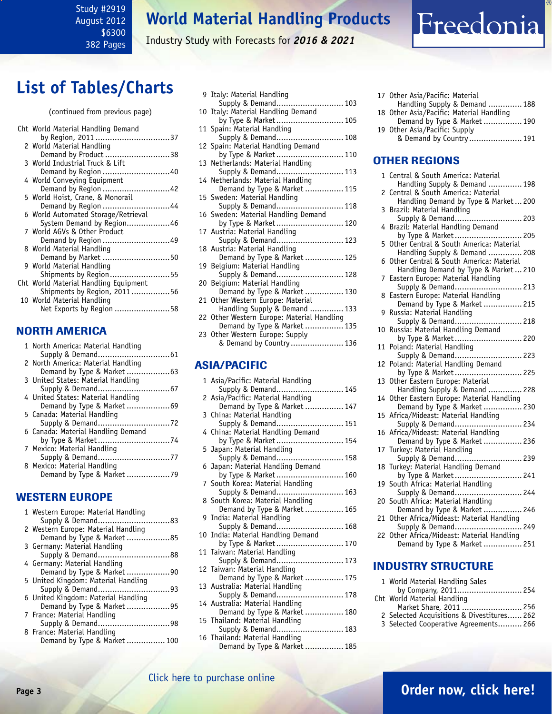#### <span id="page-2-0"></span>Study #2919 August 2012 \$6300 382 Pages

# **World Material Handling Products**

Industry Study with Forecasts for *2016 & 2021*

# **List of Tables/Charts**

#### (continued from previous page)

| Cht World Material Handling Demand    |  |
|---------------------------------------|--|
| by Region, 2011 37                    |  |
| 2 World Material Handling             |  |
| Demand by Product 38                  |  |
| 3 World Industrial Truck & Lift       |  |
| Demand by Region 40                   |  |
| 4 World Conveying Equipment           |  |
| Demand by Region 42                   |  |
| 5 World Hoist, Crane, & Monorail      |  |
| Demand by Region 44                   |  |
| 6 World Automated Storage/Retrieval   |  |
| System Demand by Region46             |  |
| 7 World AGVs & Other Product          |  |
| Demand by Region 49                   |  |
| 8 World Material Handling             |  |
| Demand by Market 50                   |  |
| 9 World Material Handling             |  |
| Shipments by Region55                 |  |
| Cht World Material Handling Equipment |  |
| Shipments by Region, 201156           |  |
| 10 World Material Handling            |  |
| Net Exports by Region 58              |  |
|                                       |  |

### NORTH AMERICA

| 1 North America: Material Handling                               |  |
|------------------------------------------------------------------|--|
| 2 North America: Material Handling                               |  |
| 3 United States: Material Handling                               |  |
|                                                                  |  |
| 4 United States: Material Handling<br>Demand by Type & Market 69 |  |
| 5 Canada: Material Handling                                      |  |
|                                                                  |  |
| 6 Canada: Material Handling Demand<br>by Type & Market74         |  |
| 7 Mexico: Material Handling                                      |  |
| 8 Mexico: Material Handling                                      |  |
|                                                                  |  |
|                                                                  |  |

### WESTERN EUROPE

| 1 Western Europe: Material Handling |  |
|-------------------------------------|--|
| Supply & Demand83                   |  |
| 2 Western Europe: Material Handling |  |
| Demand by Type & Market 85          |  |
| 3 Germany: Material Handling        |  |
| Supply & Demand88                   |  |
| 4 Germany: Material Handling        |  |
| Demand by Type & Market 90          |  |
| 5 United Kingdom: Material Handling |  |
| Supply & Demand93                   |  |
| 6 United Kingdom: Material Handling |  |
| Demand by Type & Market 95          |  |
| 7 France: Material Handling         |  |
|                                     |  |
| 8 France: Material Handling         |  |
| Demand by Type & Market  100        |  |

| 9 Italy: Material Handling                                  |
|-------------------------------------------------------------|
| Supply & Demand 103                                         |
| 10 Italy: Material Handling Demand                          |
| by Type & Market 105                                        |
| 11 Spain: Material Handling                                 |
| Supply & Demand 108<br>12 Spain: Material Handling Demand   |
| by Type & Market 110                                        |
| 13 Netherlands: Material Handling                           |
| Supply & Demand 113                                         |
| 14 Netherlands: Material Handling                           |
| Demand by Type & Market  115                                |
| 15 Sweden: Material Handling                                |
| Supply & Demand 118<br>16 Sweden: Material Handling Demand  |
| by Type & Market 120                                        |
| 17 Austria: Material Handling                               |
| Supply & Demand 123                                         |
| 18 Austria: Material Handling                               |
| Demand by Type & Market  125                                |
| 19 Belgium: Material Handling<br>Supply & Demand 128        |
| 20 Belgium: Material Handling                               |
| Demand by Type & Market  130                                |
| 21 Other Western Europe: Material                           |
| Handling Supply & Demand  133                               |
| 22 Other Western Europe: Material Handling                  |
| Demand by Type & Market  135                                |
| 23 Other Western Europe: Supply<br>& Demand by Country  136 |
|                                                             |
|                                                             |
| ASIA/PACIFIC                                                |

| 1 Asia/Pacific: Material Handling                                                   |  |
|-------------------------------------------------------------------------------------|--|
| Supply & Demand 145                                                                 |  |
| 2 Asia/Pacific: Material Handling                                                   |  |
| Demand by Type & Market  147                                                        |  |
| 3 China: Material Handling                                                          |  |
| Supply & Demand 151                                                                 |  |
| 4 China: Material Handling Demand                                                   |  |
| by Type & Market 154                                                                |  |
| 5 Japan: Material Handling                                                          |  |
| Supply & Demand 158                                                                 |  |
| 6 Japan: Material Handling Demand                                                   |  |
| by Type & Market 160                                                                |  |
| 7 South Korea: Material Handling                                                    |  |
| Supply & Demand 163                                                                 |  |
| 8 South Korea: Material Handling                                                    |  |
| Demand by Type & Market  165                                                        |  |
| 9 India: Material Handling                                                          |  |
| Supply & Demand 168                                                                 |  |
| 10 India: Material Handling Demand                                                  |  |
| by Type & Market 170                                                                |  |
| 11 Taiwan: Material Handling                                                        |  |
| Supply & Demand 173                                                                 |  |
| 12 Taiwan: Material Handling                                                        |  |
| Demand by Type & Market  175                                                        |  |
| 13 Australia: Material Handling<br>straua: Material Handling<br>Supply & Demand 178 |  |
|                                                                                     |  |
| 14 Australia: Material Handling                                                     |  |
| Demand by Type & Market  180                                                        |  |
| 15 Thailand: Material Handling                                                      |  |
| Supply & Demand 183                                                                 |  |
| 16 Thailand: Material Handling<br>Demand by Type & Market  185                      |  |
|                                                                                     |  |

| 17 Other Asia/Pacific: Material          |  |
|------------------------------------------|--|
| Handling Supply & Demand  188            |  |
| 18 Other Asia/Pacific: Material Handling |  |
| Demand by Type & Market  190             |  |
| 19 Other Asia/Pacific: Supply            |  |
| & Demand by Country  191                 |  |
|                                          |  |

Freedonia

#### OTHER REGIONS

|    | 1 Central & South America: Material<br>Handling Supply & Demand  198           |
|----|--------------------------------------------------------------------------------|
| 2  | Central & South America: Material                                              |
| 3  | Handling Demand by Type & Market 200<br>Brazil: Material Handling              |
| 4  | Brazil: Material Handling Demand                                               |
|    | by Type & Market 205                                                           |
| 5  | Other Central & South America: Material<br>Handling Supply & Demand  208       |
| 6  | Other Central & South America: Material<br>Handling Demand by Type & Market210 |
| 7  | Eastern Europe: Material Handling                                              |
| 8  | Supply & Demand 213<br>Eastern Europe: Material Handling                       |
| 9  | Demand by Type & Market  215<br>Russia: Material Handling                      |
| 10 | Supply & Demand 218<br>Russia: Material Handling Demand                        |
|    | by Type & Market 220                                                           |
| 11 | Poland: Material Handling<br>Supply & Demand 223                               |
| 12 | Poland: Material Handling Demand<br>by Type & Market 225                       |
| 13 | Other Eastern Europe: Material                                                 |
| 14 | Handling Supply & Demand  228<br>Other Eastern Europe: Material Handling       |
| 15 | Demand by Type & Market  230<br>Africa/Mideast: Material Handling              |
| 16 | Supply & Demand 234<br>Africa/Mideast: Material Handling                       |
|    | Demand by Type & Market  236                                                   |
| 17 | Turkey: Material Handling<br>Supply & Demand 239                               |
| 18 | Turkey: Material Handling Demand<br>by Type & Market 241                       |
| 19 | South Africa: Material Handling<br>Supply & Demand 244                         |
| 20 | South Africa: Material Handling<br>Demand by Type & Market  246                |
| 21 | Other Africa/Mideast: Material Handling                                        |
| 22 | Supply & Demand 249<br>Other Africa/Mideast: Material Handling                 |
|    | Demand by Type & Market  251                                                   |

## INDUSTRY STRUCTURE

| 1 World Material Handling Sales            |  |
|--------------------------------------------|--|
| by Company, 2011 254                       |  |
| Cht World Material Handling                |  |
| Market Share, 2011  256                    |  |
| 2 Selected Acquisitions & Divestitures 262 |  |
| 3 Selected Cooperative Agreements 266      |  |
|                                            |  |

## [Click here to purchase online](http://www.freedoniagroup.com/DocumentDetails.aspx?Referrerid=FM-Bro&StudyID=2919)

# **Page 3 [Order now, click here!](#page-6-0)**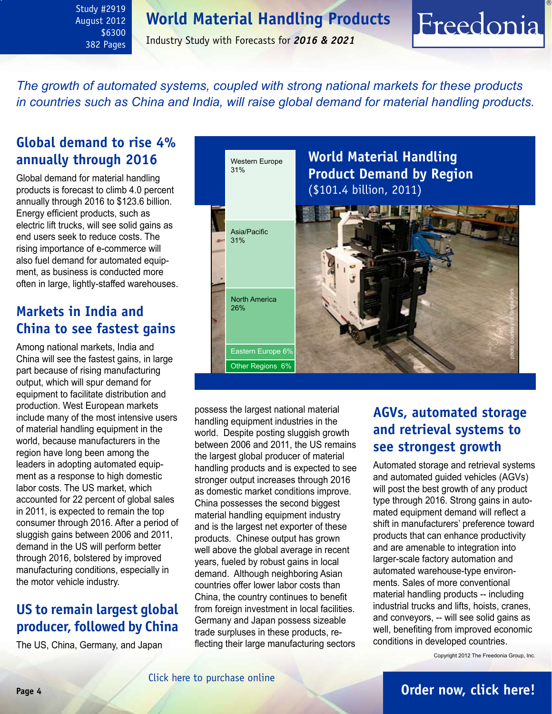# **World Material Handling Products**

<span id="page-3-0"></span>Study #2919 August 2012 \$6300 382 Pages

Industry Study with Forecasts for *2016 & 2021*

*The growth of automated systems, coupled with strong national markets for these products in countries such as China and India, will raise global demand for material handling products.*

# **Global demand to rise 4% annually through 2016**

Global demand for material handling products is forecast to climb 4.0 percent annually through 2016 to \$123.6 billion. Energy efficient products, such as electric lift trucks, will see solid gains as end users seek to reduce costs. The rising importance of e-commerce will also fuel demand for automated equipment, as business is conducted more often in large, lightly-staffed warehouses.

# **Markets in India and China to see fastest gains**

Among national markets, India and China will see the fastest gains, in large part because of rising manufacturing output, which will spur demand for equipment to facilitate distribution and production. West European markets include many of the most intensive users of material handling equipment in the world, because manufacturers in the region have long been among the leaders in adopting automated equipment as a response to high domestic labor costs. The US market, which accounted for 22 percent of global sales in 2011, is expected to remain the top consumer through 2016. After a period of sluggish gains between 2006 and 2011, demand in the US will perform better through 2016, bolstered by improved manufacturing conditions, especially in the motor vehicle industry.

# **US to remain largest global producer, followed by China**

The US, China, Germany, and Japan



possess the largest national material handling equipment industries in the world. Despite posting sluggish growth between 2006 and 2011, the US remains the largest global producer of material handling products and is expected to see stronger output increases through 2016 as domestic market conditions improve. China possesses the second biggest material handling equipment industry and is the largest net exporter of these products. Chinese output has grown well above the global average in recent years, fueled by robust gains in local demand. Although neighboring Asian countries offer lower labor costs than China, the country continues to benefit from foreign investment in local facilities. Germany and Japan possess sizeable trade surpluses in these products, reflecting their large manufacturing sectors

# **AGVs, automated storage and retrieval systems to see strongest growth**

Freedonia

Automated storage and retrieval systems and automated guided vehicles (AGVs) will post the best growth of any product type through 2016. Strong gains in automated equipment demand will reflect a shift in manufacturers' preference toward products that can enhance productivity and are amenable to integration into larger-scale factory automation and automated warehouse-type environments. Sales of more conventional material handling products -- including industrial trucks and lifts, hoists, cranes, and conveyors, -- will see solid gains as well, benefiting from improved economic conditions in developed countries.

Copyright 2012 The Freedonia Group, Inc.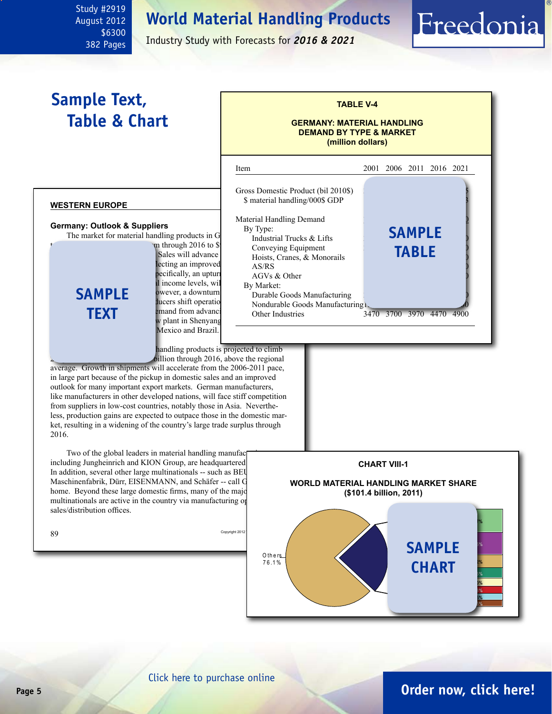**World Material Handling Products**

August 2012 \$6300 382 Pages

Study #2919

Industry Study with Forecasts for *2016 & 2021*

<span id="page-4-0"></span>

# **Page 5 [Order now, click here!](#page-6-0)**

Freedonia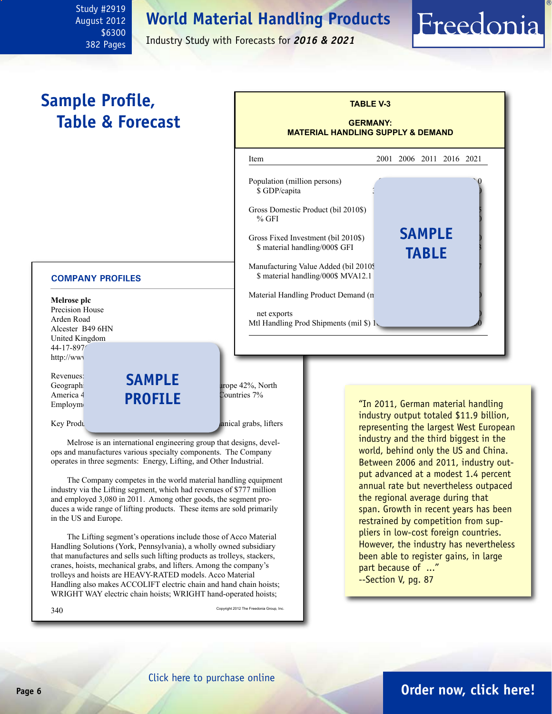# **World Material Handling Products**

<span id="page-5-0"></span>Study #2919 August 2012 \$6300 382 Pages

Industry Study with Forecasts for *2016 & 2021*

# **Sample Profile, Table & Forecast**

# **TABLE V-3 GERMANY: MATERIAL HANDLING SUPPLY & DEMAND** l Item 2001 2006 2011 2016 2021 Population (million persons). \$ GDP/capita Gross Domestic Product (bil 2010\$) % GFI 18.7 18.0 18.0 17.8 17.0 Gross Fixed Investment (bil 2010\$)  $$ material handling/000$ GFI.$ Manufacturing Value Added (bil 2010\$) \$ material handling/000\$ MVA12.1 Material Handling Product Demand (n) net exports Mtl Handling Prod Shipments (mil \$) 1 **sample table**

#### **COMPANY PROFILES**

**Melrose plc** Precision House Arden Road Alcester B49 6HN United Kingdom 44-17-8976 http://www

Revenues:<br>Geograph Employm

# America 4 **PROFILE** Countries 7% **sample**

rope 42%, North

Key Products: transfer of the state results: transfer of the state results, however, however, the state results, however, and the state results of the state results. The state results in the state results of the state resu

Melrose is an international engineering group that designs, develops and manufactures various specialty components. The Company operates in three segments: Energy, Lifting, and Other Industrial.

The Company competes in the world material handling equipment industry via the Lifting segment, which had revenues of \$777 million and employed 3,080 in 2011. Among other goods, the segment produces a wide range of lifting products. These items are sold primarily in the US and Europe.

The Lifting segment's operations include those of Acco Material Handling Solutions (York, Pennsylvania), a wholly owned subsidiary that manufactures and sells such lifting products as trolleys, stackers, cranes, hoists, mechanical grabs, and lifters. Among the company's trolleys and hoists are HEAVY-RATED models. Acco Material Handling also makes ACCOLIFT electric chain and hand chain hoists; WRIGHT WAY electric chain hoists; WRIGHT hand-operated hoists;

 $340$  Copyright 2012 The Freedonia Group, Inc.

"In 2011, German material handling industry output totaled \$11.9 billion, representing the largest West European industry and the third biggest in the world, behind only the US and China. Between 2006 and 2011, industry output advanced at a modest 1.4 percent annual rate but nevertheless outpaced the regional average during that span. Growth in recent years has been restrained by competition from suppliers in low-cost foreign countries. However, the industry has nevertheless been able to register gains, in large part because of ..." --Section V, pg. 87

Freedonia

# **Page 6 [Order now, click here!](#page-6-0)**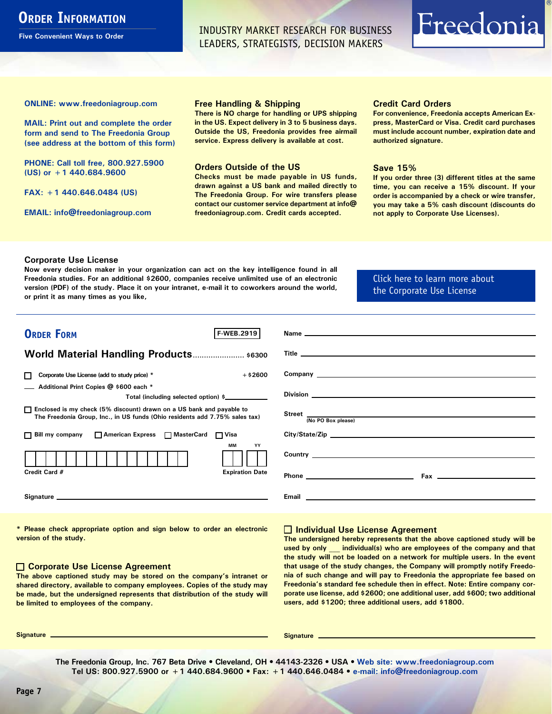# <span id="page-6-0"></span>**ORDER INFORMATION**

**Five Convenient Ways to Order**

INDUSTRY MARKET RESEARCH FOR BUSINESS LEADERS, STRATEGISTS, DECISION MAKERS

# Freedonia

**ONLINE: [www.freedoniagroup.com](http://www.freedoniagroup.com/DocumentDetails.aspx?Referrerid=FM-Bro&StudyID=2919)**

**MAIL: Print out and complete the order form and send to The Freedonia Group (see address at the bottom of this form)**

**PHONE: Call toll free, 800.927.5900 (US) or +1 440.684.9600**

**FAX: +1 440.646.0484 (US)**

**EMAIL: [info@freedoniagroup.com](mailto:info@freedoniagroup.com)**

#### **Free Handling & Shipping**

**There is NO charge for handling or UPS shipping in the US. Expect delivery in 3 to 5 business days. Outside the US, Freedonia provides free airmail service. Express delivery is available at cost.**

#### **Orders Outside of the US**

**Checks must be made payable in US funds, drawn against a US bank and mailed directly to The Freedonia Group. For wire transfers please contact our customer service department at info@ freedoniagroup.com. Credit cards accepted.**

#### **Credit Card Orders**

**For convenience, Freedonia accepts American Express, MasterCard or Visa. Credit card purchases must include account number, expiration date and authorized signature.**

#### **Save 15%**

**If you order three (3) different titles at the same time, you can receive a 15% discount. If your order is accompanied by a check or wire transfer, you may take a 5% cash discount (discounts do not apply to Corporate Use Licenses).**

#### **Corporate Use License**

**Now every decision maker in your organization can act on the key intelligence found in all Freedonia studies. For an additional \$2600, companies receive unlimited use of an electronic version (PDF) of the study. Place it on your intranet, e-mail it to coworkers around the world, or print it as many times as you like,** 

[Click here to learn more about](http://www.freedoniagroup.com/pdf/FreedoniaCULBro.pdf)  [the Corporate Use License](http://www.freedoniagroup.com/pdf/FreedoniaCULBro.pdf)

| <b>ORDER FORM</b><br><b>F</b> WEB.2919                                                                                                                                                                                         |                                                                                                                                                                                                                                      |
|--------------------------------------------------------------------------------------------------------------------------------------------------------------------------------------------------------------------------------|--------------------------------------------------------------------------------------------------------------------------------------------------------------------------------------------------------------------------------------|
|                                                                                                                                                                                                                                |                                                                                                                                                                                                                                      |
| World Material Handling Products \$6300                                                                                                                                                                                        |                                                                                                                                                                                                                                      |
| $+$ \$2600<br>Corporate Use License (add to study price) *                                                                                                                                                                     | Company <u>experience</u> and the company of the company of the company of the company of the company of the company of the company of the company of the company of the company of the company of the company of the company of th  |
| Additional Print Copies @ \$600 each *<br>Total (including selected option) \$                                                                                                                                                 |                                                                                                                                                                                                                                      |
| □ Enclosed is my check (5% discount) drawn on a US bank and payable to<br>The Freedonia Group, Inc., in US funds (Ohio residents add 7.75% sales tax)                                                                          | Street  No PO Box please)<br>No PO Box please                                                                                                                                                                                        |
| □ Bill my company □ American Express □ MasterCard □ Visa                                                                                                                                                                       |                                                                                                                                                                                                                                      |
| MМ<br>YY                                                                                                                                                                                                                       |                                                                                                                                                                                                                                      |
| Credit Card #<br><b>Expiration Date</b>                                                                                                                                                                                        |                                                                                                                                                                                                                                      |
| Signature experience and the state of the state of the state of the state of the state of the state of the state of the state of the state of the state of the state of the state of the state of the state of the state of th | <b>Email Advisor Contract Contract Contract Contract Contract Contract Contract Contract Contract Contract Contract Contract Contract Contract Contract Contract Contract Contract Contract Contract Contract Contract Contract </b> |

**\* Please check appropriate option and sign below to order an electronic version of the study.**

#### **Corporate Use License Agreement**

**The above captioned study may be stored on the company's intranet or shared directory, available to company employees. Copies of the study may be made, but the undersigned represents that distribution of the study will be limited to employees of the company.**

#### **Individual Use License Agreement**

**The undersigned hereby represents that the above captioned study will be used by only \_\_\_ individual(s) who are employees of the company and that the study will not be loaded on a network for multiple users. In the event that usage of the study changes, the Company will promptly notify Freedonia of such change and will pay to Freedonia the appropriate fee based on Freedonia's standard fee schedule then in effect. Note: Entire company corporate use license, add \$2600; one additional user, add \$600; two additional users, add \$1200; three additional users, add \$1800.**

**Signature Signature**

**The Freedonia Group, Inc. 767 Beta Drive • Cleveland, OH • 44143-2326 • USA • [Web site: www.freedoniagroup.com](http://www.freedoniagroup.com/Home.aspx?ReferrerId=FM-Bro) Tel US: 800.927.5900 or +1 440.684.9600 • Fax: +1 440.646.0484 • [e-mail: info@freedoniagroup.com](mailto:info@freedoniagroup.com)**